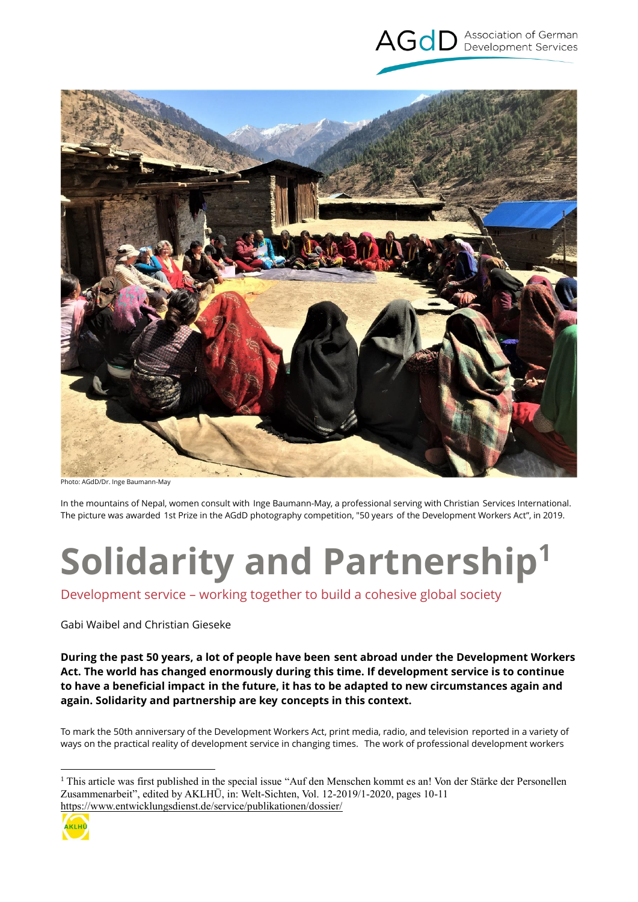



Photo: AGdD/Dr. Inge Baumann-May

In the mountains of Nepal, women consult with Inge Baumann-May, a professional serving with Christian Services International. The picture was awarded 1st Prize in the AGdD photography competition, "50 years of the Development Workers Act", in 2019.

# **Solidarity and Partnership<sup>1</sup>**

Development service – working together to build a cohesive global society

Gabi Waibel and Christian Gieseke

**During the past 50 years, a lot of people have been sent abroad under the Development Workers Act. The world has changed enormously during this time. If development service is to continue to have a beneficial impact in the future, it has to be adapted to new circumstances again and again. Solidarity and partnership are key concepts in this context.**

To mark the 50th anniversary of the Development Workers Act, print media, radio, and television reported in a variety of ways on the practical reality of development service in changing times. The work of professional development workers

<sup>&</sup>lt;sup>1</sup> This article was first published in the special issue "Auf den Menschen kommt es an! Von der Stärke der Personellen Zusammenarbeit", edited by AKLHÜ, in: Welt-Sichten, Vol. 12-2019/1-2020, pages 10-11 <https://www.entwicklungsdienst.de/service/publikationen/dossier/>



1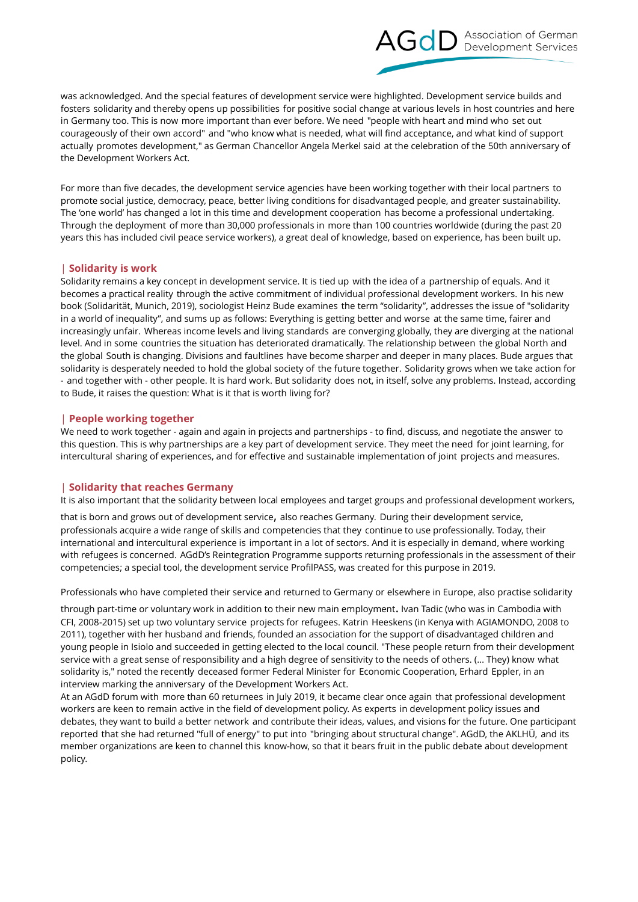

was acknowledged. And the special features of development service were highlighted. Development service builds and fosters solidarity and thereby opens up possibilities for positive social change at various levels in host countries and here in Germany too. This is now more important than ever before. We need "people with heart and mind who set out courageously of their own accord" and "who know what is needed, what will find acceptance, and what kind of support actually promotes development," as German Chancellor Angela Merkel said at the celebration of the 50th anniversary of the Development Workers Act.

For more than five decades, the development service agencies have been working together with their local partners to promote social justice, democracy, peace, better living conditions for disadvantaged people, and greater sustainability. The 'one world' has changed a lot in this time and development cooperation has become a professional undertaking. Through the deployment of more than 30,000 professionals in more than 100 countries worldwide (during the past 20 years this has included civil peace service workers), a great deal of knowledge, based on experience, has been built up.

### | **Solidarity is work**

Solidarity remains a key concept in development service. It is tied up with the idea of a partnership of equals. And it becomes a practical reality through the active commitment of individual professional development workers. In his new book (Solidarität, Munich, 2019), sociologist Heinz Bude examines the term "solidarity", addresses the issue of "solidarity in a world of inequality", and sums up as follows: Everything is getting better and worse at the same time, fairer and increasingly unfair. Whereas income levels and living standards are converging globally, they are diverging at the national level. And in some countries the situation has deteriorated dramatically. The relationship between the global North and the global South is changing. Divisions and faultlines have become sharper and deeper in many places. Bude argues that solidarity is desperately needed to hold the global society of the future together. Solidarity grows when we take action for - and together with - other people. It is hard work. But solidarity does not, in itself, solve any problems. Instead, according to Bude, it raises the question: What is it that is worth living for?

### | **People working together**

We need to work together - again and again in projects and partnerships - to find, discuss, and negotiate the answer to this question. This is why partnerships are a key part of development service. They meet the need for joint learning, for intercultural sharing of experiences, and for effective and sustainable implementation of joint projects and measures.

### | **Solidarity that reaches Germany**

It is also important that the solidarity between local employees and target groups and professional development workers,

that is born and grows out of development service, also reaches Germany. During their development service, professionals acquire a wide range of skills and competencies that they continue to use professionally. Today, their international and intercultural experience is important in a lot of sectors. And it is especially in demand, where working with refugees is concerned. AGdD's Reintegration Programme supports returning professionals in the assessment of their competencies; a special tool, the development service ProfilPASS, was created for this purpose in 2019.

Professionals who have completed their service and returned to Germany or elsewhere in Europe, also practise solidarity

through part-time or voluntary work in addition to their new main employment. Ivan Tadic (who was in Cambodia with CFI, 2008-2015) set up two voluntary service projects for refugees. Katrin Heeskens (in Kenya with AGIAMONDO, 2008 to 2011), together with her husband and friends, founded an association for the support of disadvantaged children and young people in Isiolo and succeeded in getting elected to the local council. "These people return from their development service with a great sense of responsibility and a high degree of sensitivity to the needs of others. (… They) know what solidarity is," noted the recently deceased former Federal Minister for Economic Cooperation, Erhard Eppler, in an interview marking the anniversary of the Development Workers Act.

At an AGdD forum with more than 60 returnees in July 2019, it became clear once again that professional development workers are keen to remain active in the field of development policy. As experts in development policy issues and debates, they want to build a better network and contribute their ideas, values, and visions for the future. One participant reported that she had returned "full of energy" to put into "bringing about structural change". AGdD, the AKLHÜ, and its member organizations are keen to channel this know-how, so that it bears fruit in the public debate about development policy.